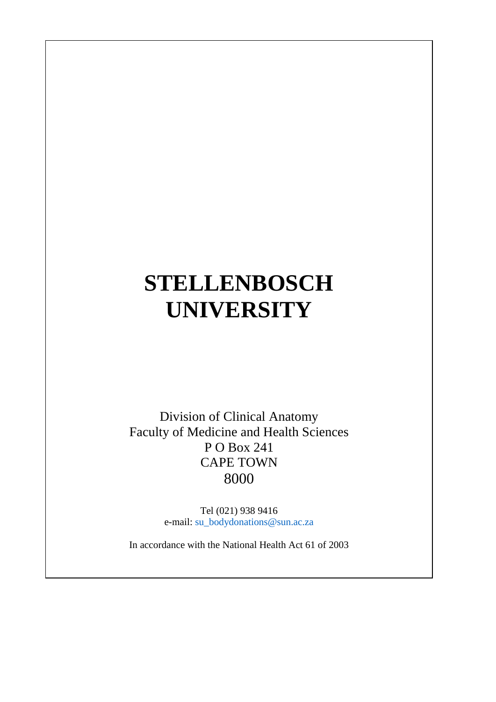# **STELLENBOSCH UNIVERSITY**

Division of Clinical Anatomy Faculty of Medicine and Health Sciences P O Box 241 CAPE TOWN 8000

> Tel (021) 938 9416 e-mail: [su\\_bodydonations@sun.ac.za](mailto:su_bodydonations@sun.ac.za)

In accordance with the National Health Act 61 of 2003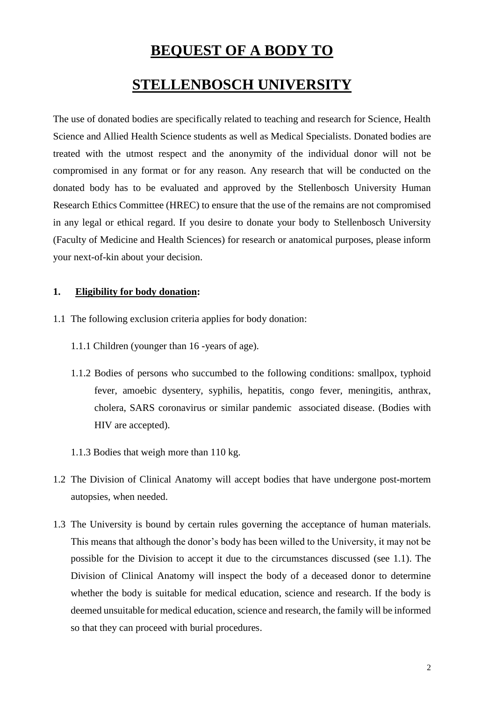### **BEQUEST OF A BODY TO**

## **STELLENBOSCH UNIVERSITY**

The use of donated bodies are specifically related to teaching and research for Science, Health Science and Allied Health Science students as well as Medical Specialists. Donated bodies are treated with the utmost respect and the anonymity of the individual donor will not be compromised in any format or for any reason. Any research that will be conducted on the donated body has to be evaluated and approved by the Stellenbosch University Human Research Ethics Committee (HREC) to ensure that the use of the remains are not compromised in any legal or ethical regard. If you desire to donate your body to Stellenbosch University (Faculty of Medicine and Health Sciences) for research or anatomical purposes, please inform your next-of-kin about your decision.

#### **1. Eligibility for body donation:**

- 1.1 The following exclusion criteria applies for body donation:
	- 1.1.1 Children (younger than 16 -years of age).
	- 1.1.2 Bodies of persons who succumbed to the following conditions: smallpox, typhoid fever, amoebic dysentery, syphilis, hepatitis, congo fever, meningitis, anthrax, cholera, SARS coronavirus or similar pandemic associated disease. (Bodies with HIV are accepted).
	- 1.1.3 Bodies that weigh more than 110 kg.
- 1.2 The Division of Clinical Anatomy will accept bodies that have undergone post-mortem autopsies, when needed.
- 1.3 The University is bound by certain rules governing the acceptance of human materials. This means that although the donor's body has been willed to the University, it may not be possible for the Division to accept it due to the circumstances discussed (see 1.1). The Division of Clinical Anatomy will inspect the body of a deceased donor to determine whether the body is suitable for medical education, science and research. If the body is deemed unsuitable for medical education, science and research, the family will be informed so that they can proceed with burial procedures.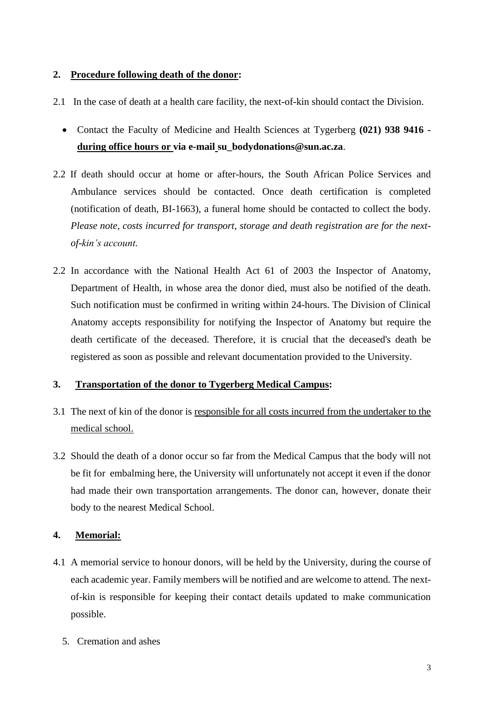#### **2. Procedure following death of the donor:**

- 2.1 In the case of death at a health care facility, the next-of-kin should contact the Division.
	- Contact the Faculty of Medicine and Health Sciences at Tygerberg **(021) 938 9416 during office hours or via e-mail su\_bodydonations@sun.ac.za**.
- 2.2 If death should occur at home or after-hours, the South African Police Services and Ambulance services should be contacted. Once death certification is completed (notification of death, BI-1663), a funeral home should be contacted to collect the body. *Please note, costs incurred for transport, storage and death registration are for the nextof-kin's account.*
- 2.2 In accordance with the National Health Act 61 of 2003 the Inspector of Anatomy, Department of Health, in whose area the donor died, must also be notified of the death. Such notification must be confirmed in writing within 24-hours. The Division of Clinical Anatomy accepts responsibility for notifying the Inspector of Anatomy but require the death certificate of the deceased. Therefore, it is crucial that the deceased's death be registered as soon as possible and relevant documentation provided to the University.

#### **3. Transportation of the donor to Tygerberg Medical Campus:**

- 3.1 The next of kin of the donor is responsible for all costs incurred from the undertaker to the medical school.
- 3.2 Should the death of a donor occur so far from the Medical Campus that the body will not be fit for embalming here, the University will unfortunately not accept it even if the donor had made their own transportation arrangements. The donor can, however, donate their body to the nearest Medical School.

#### **4. Memorial:**

- 4.1 A memorial service to honour donors, will be held by the University, during the course of each academic year. Family members will be notified and are welcome to attend. The nextof-kin is responsible for keeping their contact details updated to make communication possible.
	- 5. Cremation and ashes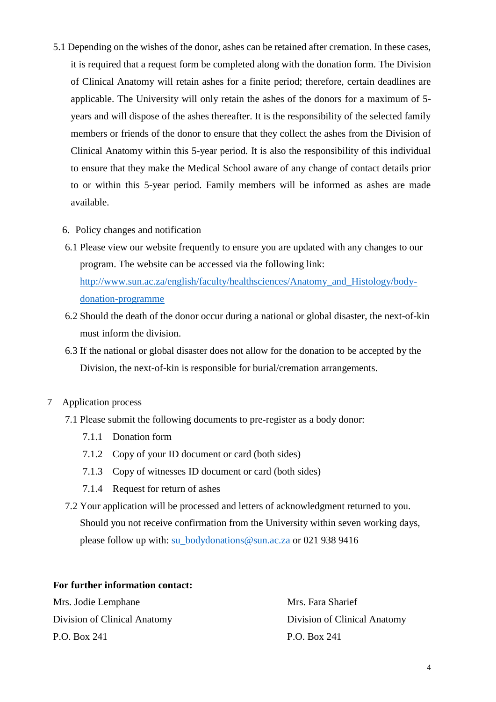- 5.1 Depending on the wishes of the donor, ashes can be retained after cremation. In these cases, it is required that a request form be completed along with the donation form. The Division of Clinical Anatomy will retain ashes for a finite period; therefore, certain deadlines are applicable. The University will only retain the ashes of the donors for a maximum of 5 years and will dispose of the ashes thereafter. It is the responsibility of the selected family members or friends of the donor to ensure that they collect the ashes from the Division of Clinical Anatomy within this 5-year period. It is also the responsibility of this individual to ensure that they make the Medical School aware of any change of contact details prior to or within this 5-year period. Family members will be informed as ashes are made available.
	- 6. Policy changes and notification
	- 6.1 Please view our website frequently to ensure you are updated with any changes to our program. The website can be accessed via the following link: [http://www.sun.ac.za/english/faculty/healthsciences/Anatomy\\_and\\_Histology/body](http://www.sun.ac.za/english/faculty/healthsciences/Anatomy_and_Histology/body-donation-programme)[donation-programme](http://www.sun.ac.za/english/faculty/healthsciences/Anatomy_and_Histology/body-donation-programme)
	- 6.2 Should the death of the donor occur during a national or global disaster, the next-of-kin must inform the division.
	- 6.3 If the national or global disaster does not allow for the donation to be accepted by the Division, the next-of-kin is responsible for burial/cremation arrangements.
- 7 Application process
	- 7.1 Please submit the following documents to pre-register as a body donor:
		- 7.1.1 Donation form
		- 7.1.2 Copy of your ID document or card (both sides)
		- 7.1.3 Copy of witnesses ID document or card (both sides)
		- 7.1.4 Request for return of ashes
	- 7.2 Your application will be processed and letters of acknowledgment returned to you. Should you not receive confirmation from the University within seven working days, please follow up with: [su\\_bodydonations@sun.ac.za](mailto:su_bodydonations@sun.ac.za) or 021 938 9416

#### **For further information contact:**

Mrs. Jodie Lemphane Mrs. Fara Sharief Division of Clinical Anatomy Division of Clinical Anatomy P.O. Box 241 P.O. Box 241